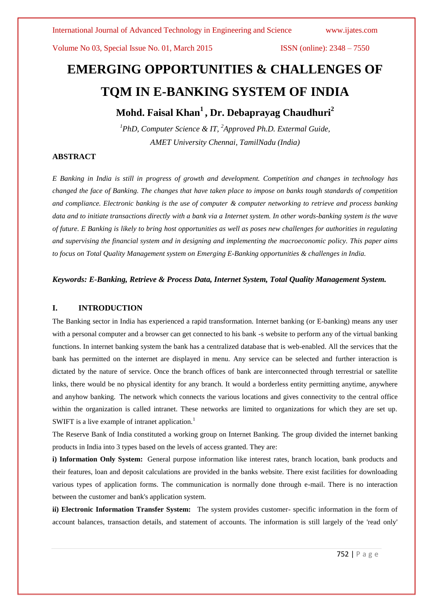# **EMERGING OPPORTUNITIES & CHALLENGES OF TQM IN E-BANKING SYSTEM OF INDIA**

**Mohd. Faisal Khan<sup>1</sup> , Dr. Debaprayag Chaudhuri<sup>2</sup>**

*<sup>1</sup>PhD, Computer Science & IT, <sup>2</sup>Approved Ph.D. Extermal Guide, AMET University Chennai, TamilNadu (India)*

# **ABSTRACT**

*E Banking in India is still in progress of growth and development. Competition and changes in technology has changed the face of Banking. The changes that have taken place to impose on banks tough standards of competition and compliance. Electronic banking is the use of computer & computer networking to retrieve and process banking data and to initiate transactions directly with a bank via a Internet system. In other words-banking system is the wave of future. E Banking is likely to bring host opportunities as well as poses new challenges for authorities in regulating and supervising the financial system and in designing and implementing the macroeconomic policy. This paper aims to focus on Total Quality Management system on Emerging E-Banking opportunities & challenges in India.*

# *Keywords: E-Banking, Retrieve & Process Data, Internet System, Total Quality Management System.*

## **I. INTRODUCTION**

The Banking sector in India has experienced a rapid transformation. Internet banking (or E-banking) means any user with a personal computer and a browser can get connected to his bank -s website to perform any of the virtual banking functions. In internet banking system the bank has a centralized database that is web-enabled. All the services that the bank has permitted on the internet are displayed in menu. Any service can be selected and further interaction is dictated by the nature of service. Once the branch offices of bank are interconnected through terrestrial or satellite links, there would be no physical identity for any branch. It would a borderless entity permitting anytime, anywhere and anyhow banking. The network which connects the various locations and gives connectivity to the central office within the organization is called intranet. These networks are limited to organizations for which they are set up. SWIFT is a live example of intranet application.<sup>1</sup>

The Reserve Bank of India constituted a working group on Internet Banking. The group divided the internet banking products in India into 3 types based on the levels of access granted. They are:

**i) Information Only System:** General purpose information like interest rates, branch location, bank products and their features, loan and deposit calculations are provided in the banks website. There exist facilities for downloading various types of application forms. The communication is normally done through e-mail. There is no interaction between the customer and bank's application system.

**ii) Electronic Information Transfer System:** The system provides customer- specific information in the form of account balances, transaction details, and statement of accounts. The information is still largely of the 'read only'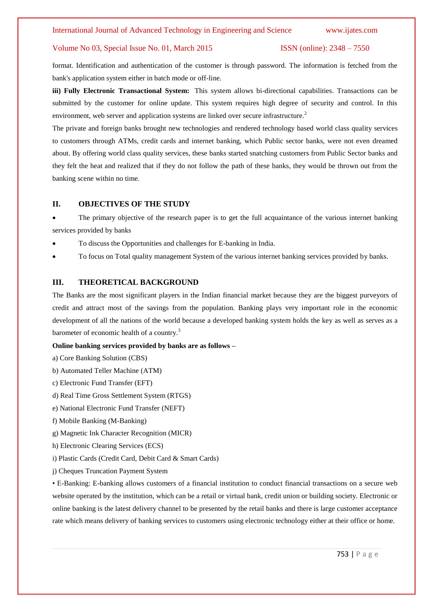format. Identification and authentication of the customer is through password. The information is fetched from the bank's application system either in batch mode or off-line.

**iii) Fully Electronic Transactional System:** This system allows bi-directional capabilities. Transactions can be submitted by the customer for online update. This system requires high degree of security and control. In this environment, web server and application systems are linked over secure infrastructure.<sup>2</sup>

The private and foreign banks brought new technologies and rendered technology based world class quality services to customers through ATMs, credit cards and internet banking, which Public sector banks, were not even dreamed about. By offering world class quality services, these banks started snatching customers from Public Sector banks and they felt the heat and realized that if they do not follow the path of these banks, they would be thrown out from the banking scene within no time.

### **II. OBJECTIVES OF THE STUDY**

 The primary objective of the research paper is to get the full acquaintance of the various internet banking services provided by banks

- To discuss the Opportunities and challenges for E-banking in India.
- To focus on Total quality management System of the various internet banking services provided by banks.

# **III. THEORETICAL BACKGROUND**

The Banks are the most significant players in the Indian financial market because they are the biggest purveyors of credit and attract most of the savings from the population. Banking plays very important role in the economic development of all the nations of the world because a developed banking system holds the key as well as serves as a barometer of economic health of a country.<sup>3</sup>

# **Online banking services provided by banks are as follows –**

- a) Core Banking Solution (CBS)
- b) Automated Teller Machine (ATM)
- c) Electronic Fund Transfer (EFT)
- d) Real Time Gross Settlement System (RTGS)
- e) National Electronic Fund Transfer (NEFT)
- f) Mobile Banking (M-Banking)
- g) Magnetic Ink Character Recognition (MICR)
- h) Electronic Clearing Services (ECS)
- i) Plastic Cards (Credit Card, Debit Card & Smart Cards)
- j) Cheques Truncation Payment System

• E-Banking: E-banking allows customers of a financial institution to conduct financial transactions on a secure web website operated by the institution, which can be a retail or virtual bank, credit union or building society. Electronic or online banking is the latest delivery channel to be presented by the retail banks and there is large customer acceptance rate which means delivery of banking services to customers using electronic technology either at their office or home.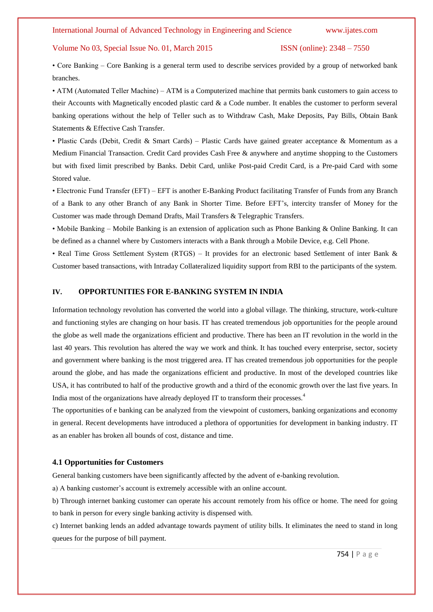• Core Banking – Core Banking is a general term used to describe services provided by a group of networked bank branches.

• ATM (Automated Teller Machine) – ATM is a Computerized machine that permits bank customers to gain access to their Accounts with Magnetically encoded plastic card & a Code number. It enables the customer to perform several banking operations without the help of Teller such as to Withdraw Cash, Make Deposits, Pay Bills, Obtain Bank Statements & Effective Cash Transfer.

• Plastic Cards (Debit, Credit & Smart Cards) – Plastic Cards have gained greater acceptance & Momentum as a Medium Financial Transaction. Credit Card provides Cash Free & anywhere and anytime shopping to the Customers but with fixed limit prescribed by Banks. Debit Card, unlike Post-paid Credit Card, is a Pre-paid Card with some Stored value.

• Electronic Fund Transfer (EFT) – EFT is another E-Banking Product facilitating Transfer of Funds from any Branch of a Bank to any other Branch of any Bank in Shorter Time. Before EFT"s, intercity transfer of Money for the Customer was made through Demand Drafts, Mail Transfers & Telegraphic Transfers.

• Mobile Banking – Mobile Banking is an extension of application such as Phone Banking & Online Banking. It can be defined as a channel where by Customers interacts with a Bank through a Mobile Device, e.g. Cell Phone.

• Real Time Gross Settlement System (RTGS) – It provides for an electronic based Settlement of inter Bank & Customer based transactions, with Intraday Collateralized liquidity support from RBI to the participants of the system.

#### **IV. OPPORTUNITIES FOR E-BANKING SYSTEM IN INDIA**

Information technology revolution has converted the world into a global village. The thinking, structure, work-culture and functioning styles are changing on hour basis. IT has created tremendous job opportunities for the people around the globe as well made the organizations efficient and productive. There has been an IT revolution in the world in the last 40 years. This revolution has altered the way we work and think. It has touched every enterprise, sector, society and government where banking is the most triggered area. IT has created tremendous job opportunities for the people around the globe, and has made the organizations efficient and productive. In most of the developed countries like USA, it has contributed to half of the productive growth and a third of the economic growth over the last five years. In India most of the organizations have already deployed IT to transform their processes.<sup>4</sup>

The opportunities of e banking can be analyzed from the viewpoint of customers, banking organizations and economy in general. Recent developments have introduced a plethora of opportunities for development in banking industry. IT as an enabler has broken all bounds of cost, distance and time.

### **4.1 Opportunities for Customers**

General banking customers have been significantly affected by the advent of e-banking revolution.

a) A banking customer's account is extremely accessible with an online account.

b) Through internet banking customer can operate his account remotely from his office or home. The need for going to bank in person for every single banking activity is dispensed with.

c) Internet banking lends an added advantage towards payment of utility bills. It eliminates the need to stand in long queues for the purpose of bill payment.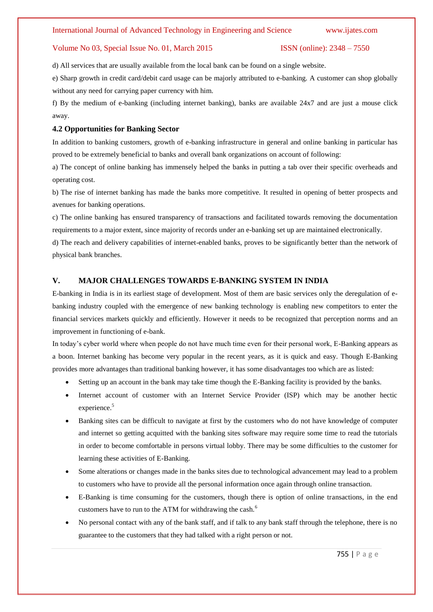d) All services that are usually available from the local bank can be found on a single website.

e) Sharp growth in credit card/debit card usage can be majorly attributed to e-banking. A customer can shop globally without any need for carrying paper currency with him.

f) By the medium of e-banking (including internet banking), banks are available 24x7 and are just a mouse click away.

# **4.2 Opportunities for Banking Sector**

In addition to banking customers, growth of e-banking infrastructure in general and online banking in particular has proved to be extremely beneficial to banks and overall bank organizations on account of following:

a) The concept of online banking has immensely helped the banks in putting a tab over their specific overheads and operating cost.

b) The rise of internet banking has made the banks more competitive. It resulted in opening of better prospects and avenues for banking operations.

c) The online banking has ensured transparency of transactions and facilitated towards removing the documentation requirements to a major extent, since majority of records under an e-banking set up are maintained electronically.

d) The reach and delivery capabilities of internet-enabled banks, proves to be significantly better than the network of physical bank branches.

# **V. MAJOR CHALLENGES TOWARDS E-BANKING SYSTEM IN INDIA**

E-banking in India is in its earliest stage of development. Most of them are basic services only the deregulation of ebanking industry coupled with the emergence of new banking technology is enabling new competitors to enter the financial services markets quickly and efficiently. However it needs to be recognized that perception norms and an improvement in functioning of e-bank.

In today"s cyber world where when people do not have much time even for their personal work, E-Banking appears as a boon. Internet banking has become very popular in the recent years, as it is quick and easy. Though E-Banking provides more advantages than traditional banking however, it has some disadvantages too which are as listed:

- Setting up an account in the bank may take time though the E-Banking facility is provided by the banks.
- Internet account of customer with an Internet Service Provider (ISP) which may be another hectic experience.<sup>5</sup>
- Banking sites can be difficult to navigate at first by the customers who do not have knowledge of computer and internet so getting acquitted with the banking sites software may require some time to read the tutorials in order to become comfortable in persons virtual lobby. There may be some difficulties to the customer for learning these activities of E-Banking.
- Some alterations or changes made in the banks sites due to technological advancement may lead to a problem to customers who have to provide all the personal information once again through online transaction.
- E-Banking is time consuming for the customers, though there is option of online transactions, in the end customers have to run to the ATM for withdrawing the cash.<sup>6</sup>
- No personal contact with any of the bank staff, and if talk to any bank staff through the telephone, there is no guarantee to the customers that they had talked with a right person or not.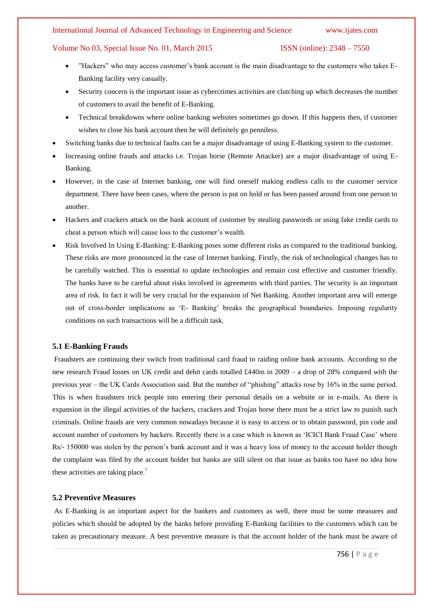# International Journal of Advanced Technology in Engineering and Science www.ijates.com

# Volume No 03, Special Issue No. 01, March 2015 ISSN (online): 2348 – 7550

- "Hackers" who may access customer"s bank account is the main disadvantage to the customers who takes E-Banking facility very casually.
- Security concern is the important issue as cybercrimes activities are clutching up which decreases the number of customers to avail the benefit of E-Banking.
- Technical breakdowns where online banking websites sometimes go down. If this happens then, if customer wishes to close his bank account then he will definitely go penniless.
- Switching banks due to technical faults can be a major disadvantage of using E-Banking system to the customer.
- Increasing online frauds and attacks i.e. Trojan horse (Remote Attacker) are a major disadvantage of using E-Banking.
- However, in the case of Internet banking, one will find oneself making endless calls to the customer service department. There have been cases, where the person is put on hold or has been passed around from one person to another.
- Hackers and crackers attack on the bank account of customer by stealing passwords or using fake credit cards to cheat a person which will cause loss to the customer"s wealth.
- Risk Involved In Using E-Banking: E-Banking poses some different risks as compared to the traditional banking. These risks are more pronounced in the case of Internet banking. Firstly, the risk of technological changes has to be carefully watched. This is essential to update technologies and remain cost effective and customer friendly. The banks have to be careful about risks involved in agreements with third parties. The security is an important area of risk. In fact it will be very crucial for the expansion of Net Banking. Another important area will emerge out of cross-border implications as "E- Banking" breaks the geographical boundaries. Imposing regularity conditions on such transactions will be a difficult task.

# **5.1 E-Banking Frauds**

Fraudsters are continuing their switch from traditional card fraud to raiding online bank accounts. According to the new research Fraud losses on UK credit and debit cards totalled £440m in 2009 – a drop of 28% compared with the previous year – the UK Cards Association said. But the number of "phishing" attacks rose by 16% in the same period. This is when fraudsters trick people into entering their personal details on a website or in e-mails. As there is expansion in the illegal activities of the hackers, crackers and Trojan horse there must be a strict law to punish such criminals. Online frauds are very common nowadays because it is easy to access or to obtain password, pin code and account number of customers by hackers. Recently there is a case which is known as "ICICI Bank Fraud Case" where Rs/- 150000 was stolen by the person"s bank account and it was a heavy loss of money to the account holder though the complaint was filed by the account holder but banks are still silent on that issue as banks too have no idea how these activities are taking place.<sup>7</sup>

# **5.2 Preventive Measures**

As E-Banking is an important aspect for the bankers and customers as well, there must be some measures and policies which should be adopted by the banks before providing E-Banking facilities to the customers which can be taken as precautionary measure. A best preventive measure is that the account holder of the bank must be aware of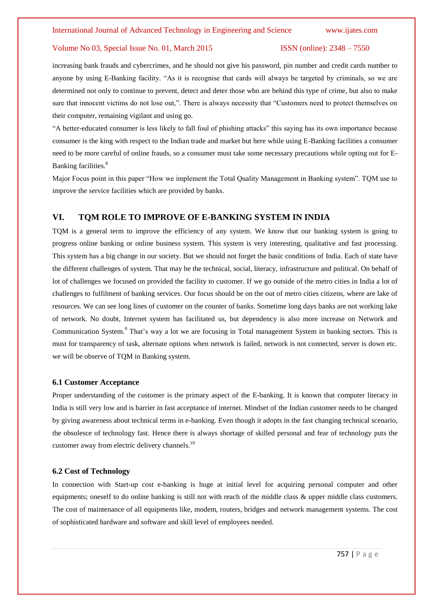increasing bank frauds and cybercrimes, and he should not give his password, pin number and credit cards number to anyone by using E-Banking facility. "As it is recognise that cards will always be targeted by criminals, so we are determined not only to continue to prevent, detect and deter those who are behind this type of crime, but also to make sure that innocent victims do not lose out,". There is always necessity that "Customers need to protect themselves on their computer, remaining vigilant and using go.

"A better-educated consumer is less likely to fall foul of phishing attacks" this saying has its own importance because consumer is the king with respect to the Indian trade and market but here while using E-Banking facilities a consumer need to be more careful of online frauds, so a consumer must take some necessary precautions while opting out for E-Banking facilities.<sup>8</sup>

Major Focus point in this paper "How we implement the Total Quality Management in Banking system". TQM use to improve the service facilities which are provided by banks.

# **VI. TQM ROLE TO IMPROVE OF E-BANKING SYSTEM IN INDIA**

TQM is a general term to improve the efficiency of any system. We know that our banking system is going to progress online banking or online business system. This system is very interesting, qualitative and fast processing. This system has a big change in our society. But we should not forget the basic conditions of India. Each of state have the different challenges of system. That may be the technical, social, literacy, infrastructure and political. On behalf of lot of challenges we focused on provided the facility to customer. If we go outside of the metro cities in India a lot of challenges to fulfilment of banking services. Our focus should be on the out of metro cities citizens, where are lake of resources. We can see long lines of customer on the counter of banks. Sometime long days banks are not working lake of network. No doubt, Internet system has facilitated us, but dependency is also more increase on Network and Communication System.<sup>9</sup> That's way a lot we are focusing in Total management System in banking sectors. This is must for transparency of task, alternate options when network is failed, network is not connected, server is down etc. we will be observe of TQM in Banking system.

#### **6.1 Customer Acceptance**

Proper understanding of the customer is the primary aspect of the E-banking. It is known that computer literacy in India is still very low and is barrier in fast acceptance of internet. Mindset of the Indian customer needs to be changed by giving awareness about technical terms in e-banking. Even though it adopts in the fast changing technical scenario, the obsolesce of technology fast. Hence there is always shortage of skilled personal and fear of technology puts the customer away from electric delivery channels.<sup>10</sup>

#### **6.2 Cost of Technology**

In connection with Start-up cost e-banking is huge at initial level for acquiring personal computer and other equipments; oneself to do online banking is still not with reach of the middle class & upper middle class customers. The cost of maintenance of all equipments like, modem, routers, bridges and network management systems. The cost of sophisticated hardware and software and skill level of employees needed.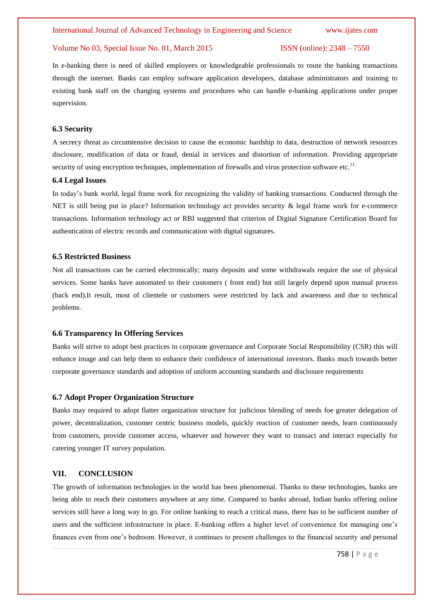In e-banking there is need of skilled employees or knowledgeable professionals to route the banking transactions through the internet. Banks can employ software application developers, database administrators and training to existing bank staff on the changing systems and procedures who can handle e-banking applications under proper supervision.

#### **6.3 Security**

A secrecy threat as circumtensive decision to cause the economic hardship to data, destruction of network resources disclosure, modification of data or fraud, denial in services and distortion of information. Providing appropriate security of using encryption techniques, implementation of firewalls and virus protection software etc.<sup>11</sup>

#### **6.4 Legal Issues**

In today"s bank world, legal frame work for recognizing the validity of banking transactions. Conducted through the NET is still being put in place? Information technology act provides security & legal frame work for e-commerce transactions. Information technology act or RBI suggested that criterion of Digital Signature Certification Board for authentication of electric records and communication with digital signatures.

#### **6.5 Restricted Business**

Not all transactions can be carried electronically; many deposits and some withdrawals require the use of physical services. Some banks have automated to their customers ( front end) but still largely depend upon manual process (back end).It result, most of clientele or customers were restricted by lack and awareness and due to technical problems.

#### **6.6 Transparency In Offering Services**

Banks will strive to adopt best practices in corporate governance and Corporate Social Responsibility (CSR) this will enhance image and can help them to enhance their confidence of international investors. Banks much towards better corporate governance standards and adoption of uniform accounting standards and disclosure requirements

#### **6.7 Adopt Proper Organization Structure**

Banks may required to adopt flatter organization structure for judicious blending of needs foe greater delegation of power, decentralization, customer centric business models, quickly reaction of customer needs, learn continuously from customers, provide customer access, whatever and however they want to transact and interact especially for catering younger IT survey population.

# **VII. CONCLUSION**

The growth of information technologies in the world has been phenomenal. Thanks to these technologies, banks are being able to reach their customers anywhere at any time. Compared to banks abroad, Indian banks offering online services still have a long way to go. For online banking to reach a critical mass, there has to be sufficient number of users and the sufficient infrastructure in place. E-banking offers a higher level of convenience for managing one"s finances even from one"s bedroom. However, it continues to present challenges to the financial security and personal